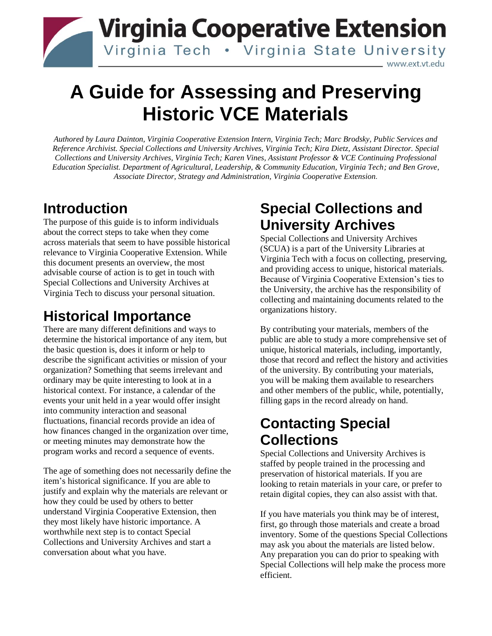## **Virginia Cooperative Extension** Virginia Tech . Virginia State University www.ext.vt.edu

# **A Guide for Assessing and Preserving Historic VCE Materials**

*Authored by Laura Dainton, Virginia Cooperative Extension Intern, Virginia Tech; Marc Brodsky, Public Services and Reference Archivist. Special Collections and University Archives, Virginia Tech; Kira Dietz, Assistant Director. Special Collections and University Archives, Virginia Tech; Karen Vines, Assistant Professor & VCE Continuing Professional Education Specialist. Department of Agricultural, Leadership, & Community Education, Virginia Tech; and Ben Grove, Associate Director, Strategy and Administration, Virginia Cooperative Extension.*

### **Introduction**

The purpose of this guide is to inform individuals about the correct steps to take when they come across materials that seem to have possible historical relevance to Virginia Cooperative Extension. While this document presents an overview, the most advisable course of action is to get in touch with Special Collections and University Archives at Virginia Tech to discuss your personal situation.

# **Historical Importance**

There are many different definitions and ways to determine the historical importance of any item, but the basic question is, does it inform or help to describe the significant activities or mission of your organization? Something that seems irrelevant and ordinary may be quite interesting to look at in a historical context. For instance, a calendar of the events your unit held in a year would offer insight into community interaction and seasonal fluctuations, financial records provide an idea of how finances changed in the organization over time, or meeting minutes may demonstrate how the program works and record a sequence of events.

The age of something does not necessarily define the item's historical significance. If you are able to justify and explain why the materials are relevant or how they could be used by others to better understand Virginia Cooperative Extension, then they most likely have historic importance. A worthwhile next step is to contact Special Collections and University Archives and start a conversation about what you have.

### **Special Collections and University Archives**

Special Collections and University Archives (SCUA) is a part of the University Libraries at Virginia Tech with a focus on collecting, preserving, and providing access to unique, historical materials. Because of Virginia Cooperative Extension's ties to the University, the archive has the responsibility of collecting and maintaining documents related to the organizations history.

By contributing your materials, members of the public are able to study a more comprehensive set of unique, historical materials, including, importantly, those that record and reflect the history and activities of the university. By contributing your materials, you will be making them available to researchers and other members of the public, while, potentially, filling gaps in the record already on hand.

## **Contacting Special Collections**

Special Collections and University Archives is staffed by people trained in the processing and preservation of historical materials. If you are looking to retain materials in your care, or prefer to retain digital copies, they can also assist with that.

If you have materials you think may be of interest, first, go through those materials and create a broad inventory. Some of the questions Special Collections may ask you about the materials are listed below. Any preparation you can do prior to speaking with Special Collections will help make the process more efficient.